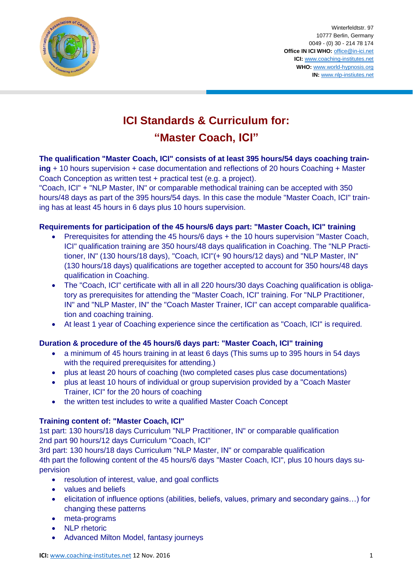

Winterfeldtstr. 97 10777 Berlin, Germany 0049 - (0) 30 - 214 78 174 **Office IN ICI WHO:** [office@in-ici.net](mailto:office@in-ici.net) **ICI:** [www.coaching-institutes.net](http://www.coaching-institutes.net/) **WHO:** [www.world-hypnosis.org](http://www.world-hypnosis.org/) **IN:** [www.nlp-instiutes.net](http://www.nlp-instiutes.net/)

# **ICI Standards & Curriculum for: "Master Coach, ICI"**

**The qualification "Master Coach, ICI" consists of at least 395 hours/54 days coaching training** + 10 hours supervision + case documentation and reflections of 20 hours Coaching + Master Coach Conception as written test + practical test (e.g. a project).

"Coach, ICI" + "NLP Master, IN" or comparable methodical training can be accepted with 350 hours/48 days as part of the 395 hours/54 days. In this case the module "Master Coach, ICI" training has at least 45 hours in 6 days plus 10 hours supervision.

# **Requirements for participation of the 45 hours/6 days part: "Master Coach, ICI" training**

- Prerequisites for attending the 45 hours/6 days + the 10 hours supervision "Master Coach, ICI" qualification training are 350 hours/48 days qualification in Coaching. The "NLP Practitioner, IN" (130 hours/18 days), "Coach, ICI"(+ 90 hours/12 days) and "NLP Master, IN" (130 hours/18 days) qualifications are together accepted to account for 350 hours/48 days qualification in Coaching.
- The "Coach, ICI" certificate with all in all 220 hours/30 days Coaching qualification is obligatory as prerequisites for attending the "Master Coach, ICI" training. For "NLP Practitioner, IN" and "NLP Master, IN" the "Coach Master Trainer, ICI" can accept comparable qualification and coaching training.
- At least 1 year of Coaching experience since the certification as "Coach, ICI" is required.

# **Duration & procedure of the 45 hours/6 days part: "Master Coach, ICI" training**

- a minimum of 45 hours training in at least 6 days (This sums up to 395 hours in 54 days with the required prerequisites for attending.)
- plus at least 20 hours of coaching (two completed cases plus case documentations)
- plus at least 10 hours of individual or group supervision provided by a "Coach Master Trainer, ICI" for the 20 hours of coaching
- the written test includes to write a qualified Master Coach Concept

#### **Training content of: "Master Coach, ICI"**

1st part: 130 hours/18 days Curriculum "NLP Practitioner, IN" or comparable qualification 2nd part 90 hours/12 days Curriculum "Coach, ICI"

3rd part: 130 hours/18 days Curriculum "NLP Master, IN" or comparable qualification 4th part the following content of the 45 hours/6 days "Master Coach, ICI", plus 10 hours days supervision

- resolution of interest, value, and goal conflicts
- values and beliefs
- elicitation of influence options (abilities, beliefs, values, primary and secondary gains…) for changing these patterns
- meta-programs
- NLP rhetoric
- Advanced Milton Model, fantasy journeys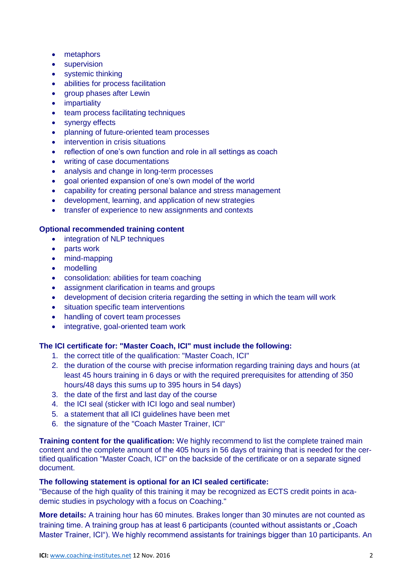- metaphors
- **•** supervision
- systemic thinking
- abilities for process facilitation
- group phases after Lewin
- impartiality
- team process facilitating techniques
- synergy effects
- planning of future-oriented team processes
- intervention in crisis situations
- reflection of one's own function and role in all settings as coach
- writing of case documentations
- analysis and change in long-term processes
- goal oriented expansion of one's own model of the world
- capability for creating personal balance and stress management
- development, learning, and application of new strategies
- transfer of experience to new assignments and contexts

## **Optional recommended training content**

- integration of NLP techniques
- parts work
- mind-mapping
- modelling
- consolidation: abilities for team coaching
- assignment clarification in teams and groups
- development of decision criteria regarding the setting in which the team will work
- situation specific team interventions
- handling of covert team processes
- integrative, goal-oriented team work

# **The ICI certificate for: "Master Coach, ICI" must include the following:**

- 1. the correct title of the qualification: "Master Coach, ICI"
- 2. the duration of the course with precise information regarding training days and hours (at least 45 hours training in 6 days or with the required prerequisites for attending of 350 hours/48 days this sums up to 395 hours in 54 days)
- 3. the date of the first and last day of the course
- 4. the ICI seal (sticker with ICI logo and seal number)
- 5. a statement that all ICI guidelines have been met
- 6. the signature of the "Coach Master Trainer, ICI"

**Training content for the qualification:** We highly recommend to list the complete trained main content and the complete amount of the 405 hours in 56 days of training that is needed for the certified qualification "Master Coach, ICI" on the backside of the certificate or on a separate signed document.

## **The following statement is optional for an ICI sealed certificate:**

"Because of the high quality of this training it may be recognized as ECTS credit points in academic studies in psychology with a focus on Coaching."

**More details:** A training hour has 60 minutes. Brakes longer than 30 minutes are not counted as training time. A training group has at least 6 participants (counted without assistants or "Coach Master Trainer, ICI"). We highly recommend assistants for trainings bigger than 10 participants. An